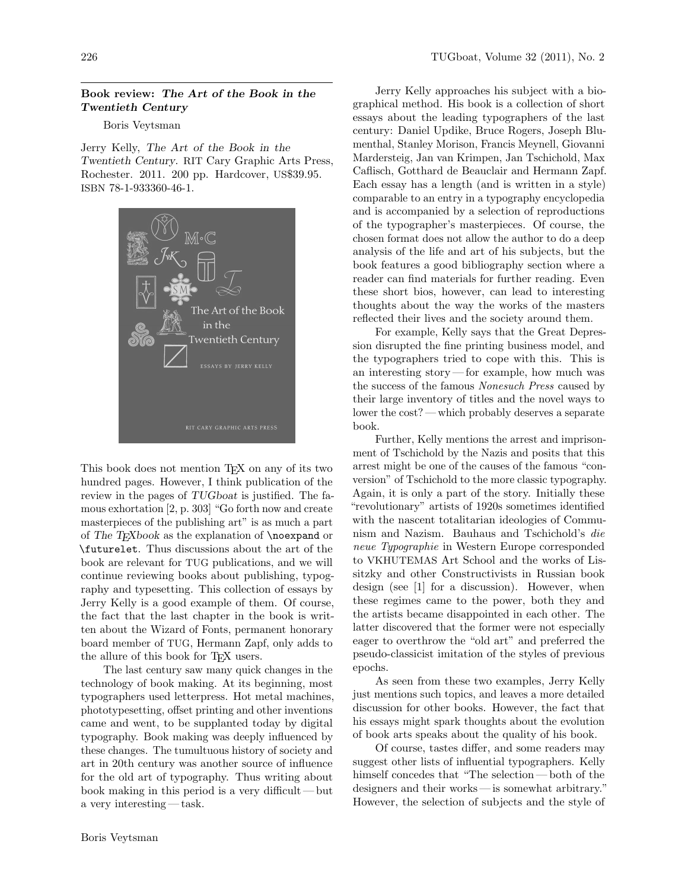## Book review: The Art of the Book in the Twentieth Century

## Boris Veytsman

Jerry Kelly, [The Art of the Book in the](http://carypress.rit.edu/publications/books/art-book-twentieth-century.html) Twentieth Century. RIT [Cary Graphic Arts Press,](http://carypress.rit.edu/publications/books/art-book-twentieth-century.html) [Rochester. 2011. 200 pp. Hardcover,](http://carypress.rit.edu/publications/books/art-book-twentieth-century.html) US\$39.95. ISBN [78-1-933360-46-1.](http://carypress.rit.edu/publications/books/art-book-twentieth-century.html)



This book does not mention T<sub>E</sub>X on any of its two hundred pages. However, I think publication of the review in the pages of TUGboat is justified. The famous exhortation [\[2,](#page-1-0) p. 303] "Go forth now and create masterpieces of the publishing art" is as much a part of The T<sub>E</sub>Xbook as the explanation of  $\neq$ or \futurelet. Thus discussions about the art of the book are relevant for TUG publications, and we will continue reviewing books about publishing, typography and typesetting. This collection of essays by Jerry Kelly is a good example of them. Of course, the fact that the last chapter in the book is written about the Wizard of Fonts, permanent honorary board member of TUG, Hermann Zapf, only adds to the allure of this book for T<sub>E</sub>X users.

The last century saw many quick changes in the technology of book making. At its beginning, most typographers used letterpress. Hot metal machines, phototypesetting, offset printing and other inventions came and went, to be supplanted today by digital typography. Book making was deeply influenced by these changes. The tumultuous history of society and art in 20th century was another source of influence for the old art of typography. Thus writing about book making in this period is a very difficult— but a very interesting — task.

Jerry Kelly approaches his subject with a biographical method. His book is a collection of short essays about the leading typographers of the last century: Daniel Updike, Bruce Rogers, Joseph Blumenthal, Stanley Morison, Francis Meynell, Giovanni Mardersteig, Jan van Krimpen, Jan Tschichold, Max Caflisch, Gotthard de Beauclair and Hermann Zapf. Each essay has a length (and is written in a style) comparable to an entry in a typography encyclopedia and is accompanied by a selection of reproductions of the typographer's masterpieces. Of course, the chosen format does not allow the author to do a deep analysis of the life and art of his subjects, but the book features a good bibliography section where a reader can find materials for further reading. Even these short bios, however, can lead to interesting thoughts about the way the works of the masters reflected their lives and the society around them.

For example, Kelly says that the Great Depression disrupted the fine printing business model, and the typographers tried to cope with this. This is an interesting story— for example, how much was the success of the famous Nonesuch Press caused by their large inventory of titles and the novel ways to lower the cost? — which probably deserves a separate book.

Further, Kelly mentions the arrest and imprisonment of Tschichold by the Nazis and posits that this arrest might be one of the causes of the famous "conversion" of Tschichold to the more classic typography. Again, it is only a part of the story. Initially these "revolutionary" artists of 1920s sometimes identified with the nascent totalitarian ideologies of Communism and Nazism. Bauhaus and Tschichold's die neue Typographie in Western Europe corresponded to VKHUTEMAS Art School and the works of Lissitzky and other Constructivists in Russian book design (see [\[1\]](#page-1-1) for a discussion). However, when these regimes came to the power, both they and the artists became disappointed in each other. The latter discovered that the former were not especially eager to overthrow the "old art" and preferred the pseudo-classicist imitation of the styles of previous epochs.

As seen from these two examples, Jerry Kelly just mentions such topics, and leaves a more detailed discussion for other books. However, the fact that his essays might spark thoughts about the evolution of book arts speaks about the quality of his book.

Of course, tastes differ, and some readers may suggest other lists of influential typographers. Kelly himself concedes that "The selection— both of the designers and their works — is somewhat arbitrary." However, the selection of subjects and the style of